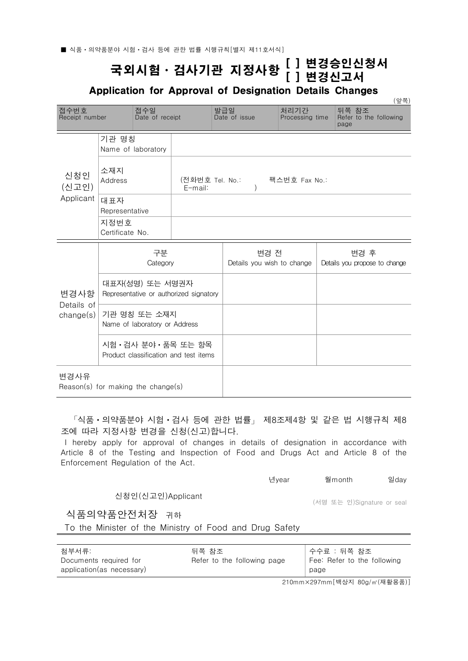## 국외시험ㆍ검사기관 지정사항 [ ] 변경승인신청서 [ ] 변경신고서

Application for Approval of Designation Details Changes

|                                                 |                                                                |                        |               |                                    |                         |  |                                         | (앞쪽) |
|-------------------------------------------------|----------------------------------------------------------------|------------------------|---------------|------------------------------------|-------------------------|--|-----------------------------------------|------|
| 접수번호<br>Receipt number                          |                                                                | 접수일<br>Date of receipt |               | 발급일<br>Date of issue               | 처리기간<br>Processing time |  | 뒤쪽 참조<br>Refer to the following<br>page |      |
|                                                 | 기관 명칭                                                          | Name of laboratory     |               |                                    |                         |  |                                         |      |
| 신청인<br>(신고인)                                    | 소재지<br>Address<br>(전화번호 Tel. No.:<br>E-mail:                   |                        | 팩스번호 Fax No.: |                                    |                         |  |                                         |      |
| Applicant                                       | 대표자<br>Representative                                          |                        |               |                                    |                         |  |                                         |      |
|                                                 | 지정번호<br>Certificate No.                                        |                        |               |                                    |                         |  |                                         |      |
|                                                 |                                                                | 구분<br>Category         |               | 변경 전<br>Details you wish to change |                         |  | 변경 후<br>Details you propose to change   |      |
| 변경사항<br>Details of<br>change(s)                 | 대표자(성명) 또는 서명권자<br>Representative or authorized signatory      |                        |               |                                    |                         |  |                                         |      |
|                                                 | 기관 명칭 또는 소재지<br>Name of laboratory or Address                  |                        |               |                                    |                         |  |                                         |      |
|                                                 | 시험 • 검사 분야 • 품목 또는 항목<br>Product classification and test items |                        |               |                                    |                         |  |                                         |      |
| 변경사유<br>$Reason(s)$ for making the change $(s)$ |                                                                |                        |               |                                    |                         |  |                                         |      |

 「식품ㆍ의약품분야 시험ㆍ검사 등에 관한 법률」 제8조제4항 및 같은 법 시행규칙 제8 조에 따라 지정사항 변경을 신청(신고)합니다.

I hereby apply for approval of changes in details of designation in accordance with Article 8 of the Testing and Inspection of Food and Drugs Act and Article 8 of the Enforcement Regulation of the Act.

| 년year | 월month | 일day |
|-------|--------|------|
|-------|--------|------|

신청인(신고인)Applicant

(서명 또는 인)Signature or seal

식품의약품안전처장 귀하

To the Minister of the Ministry of Food and Drug Safety

| 첨부서류:                     | 뒤쪽 참조                       | 수수료 : 뒤쪽 참조                 |
|---------------------------|-----------------------------|-----------------------------|
| Documents required for    | Refer to the following page | Fee: Refer to the following |
| application(as necessary) |                             | page                        |

210mm×297mm[백상지 80g/㎡(재활용품)]